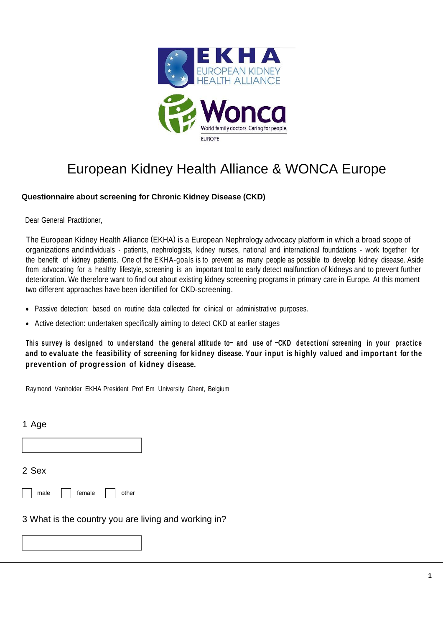

# European Kidney Health Alliance & WONCA Europe

### **Questionnaire about screening for Chronic Kidney Disease (CKD)**

Dear General Practitioner,

The European Kidney Health Alliance (EKHA) is a European Nephrology advocacy platform in which a broad scope of organizations andindividuals - patients, nephrologists, kidney nurses, national and international foundations - work together for the benefit of kidney patients. One of the EKHA-goals is to prevent as many people as possible to develop kidney disease. Aside from advocating for a healthy lifestyle, screening is an important tool to early detect malfunction of kidneys and to prevent further deterioration. We therefore want to find out about existing kidney screening programs in primary care in Europe. At this moment two different approaches have been identified for CKD-screening.

- Passive detection: based on routine data collected for clinical or administrative purposes.
- Active detection: undertaken specifically aiming to detect CKD at earlier stages

**This survey is designed to understand the general attitude to– and use of –CKD detection/ screening in your practice and to evaluate the feasibility of screening for kidney disease. Your input is highly valued and important for the prevention of progression of kidney disease.**

Raymond Vanholder EKHA President Prof Em University Ghent, Belgium

1 Age

2 Sex

| male | female |
|------|--------|
|------|--------|

3 What is the country you are living and working in?

 $|$  other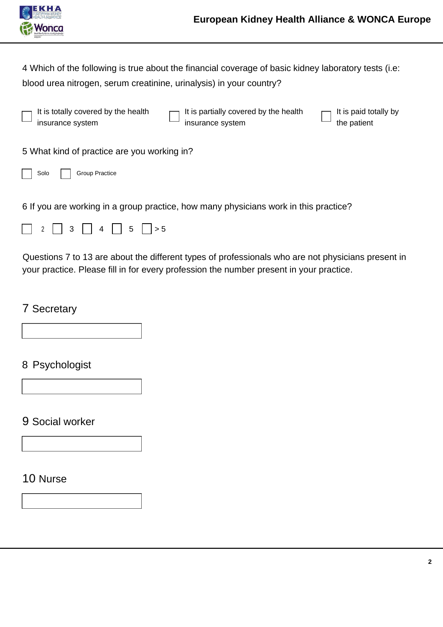

4 Which of the following is true about the financial coverage of basic kidney laboratory tests (i.e: blood urea nitrogen, serum creatinine, urinalysis) in your country?

It is totally covered by the health insurance system

It is partially covered by the health insurance system

It is paid totally by the patient

5 What kind of practice are you working in?



6 If you are working in a group practice, how many physicians work in this practice?

|--|--|--|--|--|

Questions 7 to 13 are about the different types of professionals who are not physicians present in your practice. Please fill in for every profession the number present in your practice.

## 7 Secretary

8 Psychologist

### 9 Social worker

10 Nurse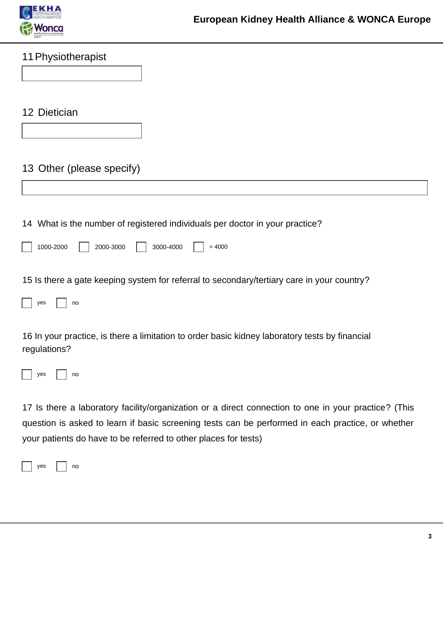

| 11 Physiotherapist                                                                                                                                                                                        |
|-----------------------------------------------------------------------------------------------------------------------------------------------------------------------------------------------------------|
|                                                                                                                                                                                                           |
|                                                                                                                                                                                                           |
| 12 Dietician                                                                                                                                                                                              |
|                                                                                                                                                                                                           |
|                                                                                                                                                                                                           |
| 13 Other (please specify)                                                                                                                                                                                 |
|                                                                                                                                                                                                           |
|                                                                                                                                                                                                           |
| 14 What is the number of registered individuals per doctor in your practice?                                                                                                                              |
| 1000-2000<br>2000-3000<br>3000-4000<br>>4000                                                                                                                                                              |
| 15 Is there a gate keeping system for referral to secondary/tertiary care in your country?                                                                                                                |
| yes<br>no                                                                                                                                                                                                 |
|                                                                                                                                                                                                           |
| 16 In your practice, is there a limitation to order basic kidney laboratory tests by financial<br>regulations?                                                                                            |
| yes<br>no                                                                                                                                                                                                 |
| 17 Is there a laboratory facility/organization or a direct connection to one in your practice? (This<br>question is asked to learn if basic screening tests can be performed in each practice, or whether |

your patients do have to be referred to other places for tests)

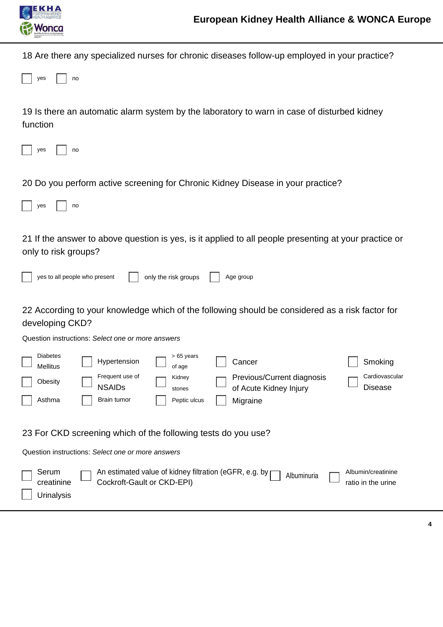

18 Are there any specialized nurses for chronic diseases follow-up employed in your practice?

|  | ves |  | no |
|--|-----|--|----|
|--|-----|--|----|

19 Is there an automatic alarm system by the laboratory to warn in case of disturbed kidney function

|  | VAC |  | nn |
|--|-----|--|----|
|--|-----|--|----|

20 Do you perform active screening for Chronic Kidney Disease in your practice?

|--|--|--|--|--|

no

21 If the answer to above question is yes, is it applied to all people presenting at your practice or only to risk groups?

| yes to all people who present | only the risk groups | Age group                                                                                       |
|-------------------------------|----------------------|-------------------------------------------------------------------------------------------------|
|                               |                      |                                                                                                 |
|                               |                      | 22 According to your knowledge which of the following should be considered as a risk factor for |

#### developing CKD?

Question instructions: *Select one or more answers*

| <b>Diabetes</b><br><b>Mellitus</b> | Hypertension                                                  | $>65$ years<br>of age            | Cancer                                                                | Smoking                                  |
|------------------------------------|---------------------------------------------------------------|----------------------------------|-----------------------------------------------------------------------|------------------------------------------|
| Obesity<br>Asthma                  | Frequent use of<br><b>NSAIDs</b><br>Brain tumor               | Kidney<br>stones<br>Peptic ulcus | Previous/Current diagnosis<br>of Acute Kidney Injury<br>Migraine      | Cardiovascular<br>Disease                |
|                                    | 23 For CKD screening which of the following tests do you use? |                                  |                                                                       |                                          |
|                                    | Question instructions: Select one or more answers             |                                  |                                                                       |                                          |
| Serum<br>creatinine<br>Urinalysis  | Cockroft-Gault or CKD-EPI)                                    |                                  | An estimated value of kidney filtration (eGFR, e.g. by<br>Albuminuria | Albumin/creatinine<br>ratio in the urine |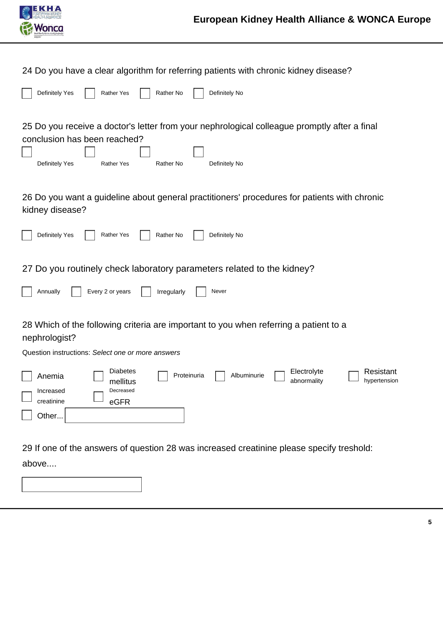

24 Do you have a clear algorithm for referring patients with chronic kidney disease?

| Definitely Yes | Rather Yes | <b>Rather No</b> | Definitely No |
|----------------|------------|------------------|---------------|
|                |            |                  |               |

25 Do you receive a doctor's letter from your nephrological colleague promptly after a final conclusion has been reached?  $\Box$  $\overline{\phantom{0}}$ 

| Definitely Yes | <b>Rather Yes</b> | Rather No | Definitely No |
|----------------|-------------------|-----------|---------------|

26 Do you want a guideline about general practitioners' procedures for patients with chronic kidney disease?

| Definitely Yes<br><b>Rather Yes</b><br>Rather No<br>Definitely No                                                                                                                       |
|-----------------------------------------------------------------------------------------------------------------------------------------------------------------------------------------|
| 27 Do you routinely check laboratory parameters related to the kidney?<br>Every 2 or years<br>Annually<br>Irregularly<br>Never                                                          |
| 28 Which of the following criteria are important to you when referring a patient to a<br>nephrologist?                                                                                  |
| Question instructions: Select one or more answers                                                                                                                                       |
| <b>Diabetes</b><br>Electrolyte<br>Resistant<br>Proteinuria<br>Albuminurie<br>Anemia<br>abnormality<br>hypertension<br>mellitus<br>Decreased<br>Increased<br>creatinine<br>eGFR<br>Other |

29 If one of the answers of question 28 was increased creatinine please specify treshold:

above....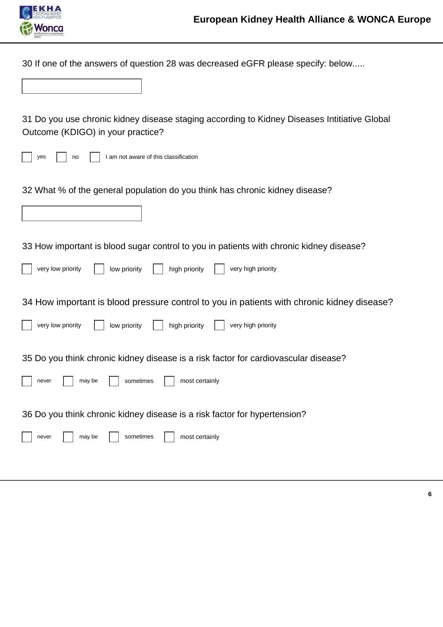

30 If one of the answers of question 28 was decreased eGFR please specify: below.....

| 31 Do you use chronic kidney disease staging according to Kidney Diseases Intitiative Global<br>Outcome (KDIGO) in your practice? |
|-----------------------------------------------------------------------------------------------------------------------------------|
| I am not aware of this classification<br>yes<br>no                                                                                |
| 32 What % of the general population do you think has chronic kidney disease?                                                      |
|                                                                                                                                   |
| 33 How important is blood sugar control to you in patients with chronic kidney disease?                                           |
| very low priority<br>high priority<br>very high priority<br>low priority                                                          |
| 34 How important is blood pressure control to you in patients with chronic kidney disease?                                        |
| very low priority<br>high priority<br>low priority<br>very high priority                                                          |
| 35 Do you think chronic kidney disease is a risk factor for cardiovascular disease?                                               |
| most certainly<br>sometimes<br>may be<br>never                                                                                    |
| 36 Do you think chronic kidney disease is a risk factor for hypertension?                                                         |
| may be<br>sometimes<br>most certainly<br>never                                                                                    |
|                                                                                                                                   |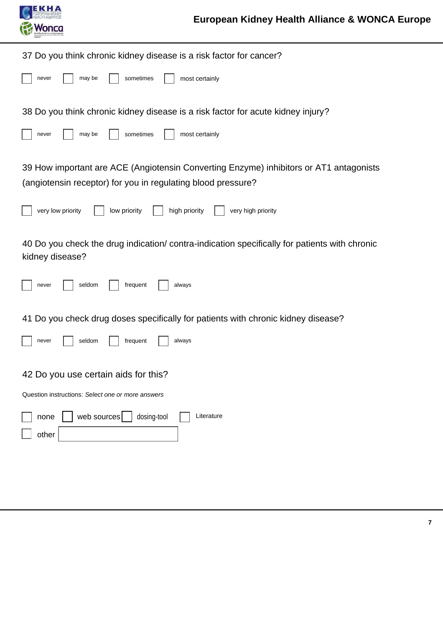

| 37 Do you think chronic kidney disease is a risk factor for cancer?                                             |
|-----------------------------------------------------------------------------------------------------------------|
| may be<br>sometimes<br>most certainly<br>never                                                                  |
| 38 Do you think chronic kidney disease is a risk factor for acute kidney injury?                                |
| sometimes<br>may be<br>most certainly<br>never                                                                  |
| 39 How important are ACE (Angiotensin Converting Enzyme) inhibitors or AT1 antagonists                          |
| (angiotensin receptor) for you in regulating blood pressure?                                                    |
| very low priority<br>low priority<br>high priority<br>very high priority                                        |
| 40 Do you check the drug indication/contra-indication specifically for patients with chronic<br>kidney disease? |
| seldom<br>frequent<br>always<br>never                                                                           |
| 41 Do you check drug doses specifically for patients with chronic kidney disease?                               |
| seldom<br>frequent<br>always<br>never                                                                           |
| 42 Do you use certain aids for this?                                                                            |
| Question instructions: Select one or more answers                                                               |
| web sources<br>dosing-tool<br>Literature<br>none<br>other                                                       |
|                                                                                                                 |